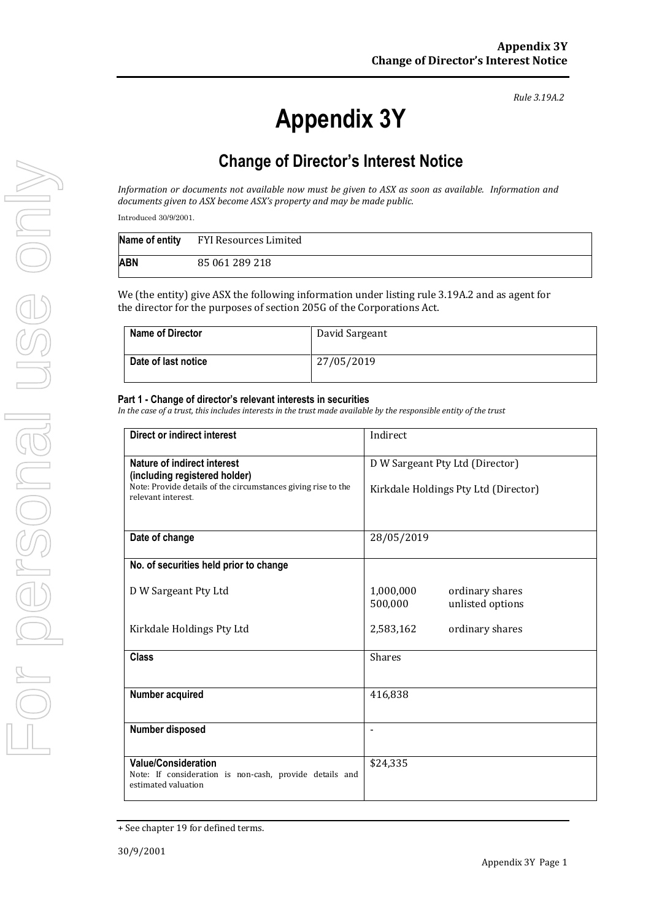*Rule 3.19A.2*

## **Change of Director's Interest Notice**

*Information or documents not available now must be given to ASX as soon as available. Information and documents given to ASX become ASX's property and may be made public.*

Introduced 30/9/2001.

|     | Name of entity FYI Resources Limited |
|-----|--------------------------------------|
| ABN | 85 061 289 218                       |

We (the entity) give ASX the following information under listing rule 3.19A.2 and as agent for the director for the purposes of section 205G of the Corporations Act.

| <b>Name of Director</b> | David Sargeant |
|-------------------------|----------------|
| Date of last notice     | 27/05/2019     |

## **Part 1 - Change of director's relevant interests in securities**

*In the case of a trust, this includes interests in the trust made available by the responsible entity of the trust*

| Direct or indirect interest                                                                                  | Indirect                                                    |  |
|--------------------------------------------------------------------------------------------------------------|-------------------------------------------------------------|--|
| Nature of indirect interest<br>(including registered holder)                                                 | D W Sargeant Pty Ltd (Director)                             |  |
| Note: Provide details of the circumstances giving rise to the<br>relevant interest                           | Kirkdale Holdings Pty Ltd (Director)                        |  |
| Date of change                                                                                               | 28/05/2019                                                  |  |
| No. of securities held prior to change                                                                       |                                                             |  |
| D W Sargeant Pty Ltd                                                                                         | 1,000,000<br>ordinary shares<br>unlisted options<br>500,000 |  |
| Kirkdale Holdings Pty Ltd                                                                                    | 2,583,162<br>ordinary shares                                |  |
| <b>Class</b>                                                                                                 | <b>Shares</b>                                               |  |
| Number acquired                                                                                              | 416,838                                                     |  |
| Number disposed                                                                                              |                                                             |  |
| <b>Value/Consideration</b><br>Note: If consideration is non-cash, provide details and<br>estimated valuation | \$24,335                                                    |  |

<sup>+</sup> See chapter 19 for defined terms.

**Appendix 3Y**